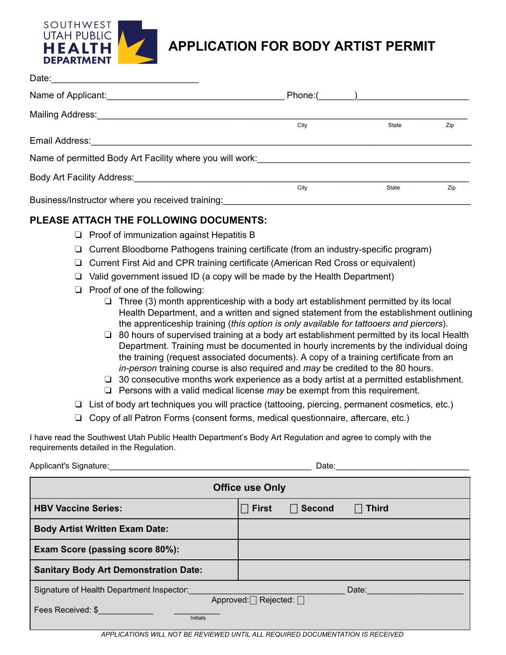

## **APPLICATION FOR BODY ARTIST PERMIT**

| Date:                                                                                                           |      |              |     |
|-----------------------------------------------------------------------------------------------------------------|------|--------------|-----|
| Name of Applicant:                                                                                              |      |              |     |
| Mailing Address:                                                                                                |      |              |     |
|                                                                                                                 | City | State        | Zip |
| Email Address:                                                                                                  |      |              |     |
| Name of permitted Body Art Facility where you will work:                                                        |      |              |     |
| Body Art Facility Address: North States and States and States and States and States and States and States and S |      |              |     |
|                                                                                                                 | City | <b>State</b> | Zip |
| Business/Instructor where you received training:                                                                |      |              |     |

## **PLEASE ATTACH THE FOLLOWING DOCUMENTS:**

- ❏ Proof of immunization against Hepatitis B
- ❏ Current Bloodborne Pathogens training certificate (from an industry-specific program)
- ❏ Current First Aid and CPR training certificate (American Red Cross or equivalent)
- ❏ Valid government issued ID (a copy will be made by the Health Department)
- ❏ Proof of one of the following:
	- ❏ Three (3) month apprenticeship with a body art establishment permitted by its local Health Department, and a written and signed statement from the establishment outlining the apprenticeship training (*this option is only available for tattooers and piercers*).
	- ❏ 80 hours of supervised training at a body art establishment permitted by its local Health Department. Training must be documented in hourly increments by the individual doing the training (request associated documents). A copy of a training certificate from an *in-person* training course is also required and *may* be credited to the 80 hours.
	- ❏ 30 consecutive months work experience as a body artist at a permitted establishment.
	- ❏ Persons with a valid medical license *may* be exempt from this requirement.
- ❏ List of body art techniques you will practice (tattooing, piercing, permanent cosmetics, etc.)
- ❏ Copy of all Patron Forms (consent forms, medical questionnaire, aftercare, etc.)

I have read the Southwest Utah Public Health Department's Body Art Regulation and agree to comply with the requirements detailed in the Regulation.

| Date:                                                                                                      |  |  |
|------------------------------------------------------------------------------------------------------------|--|--|
| <b>Office use Only</b>                                                                                     |  |  |
| <b>First</b><br>$\Box$ Third<br>$\Box$ Second                                                              |  |  |
|                                                                                                            |  |  |
|                                                                                                            |  |  |
|                                                                                                            |  |  |
| Signature of Health Department Inspector:<br>Date:<br>Approved: $\Box$ Rejected: $\Box$<br><b>Initials</b> |  |  |
|                                                                                                            |  |  |